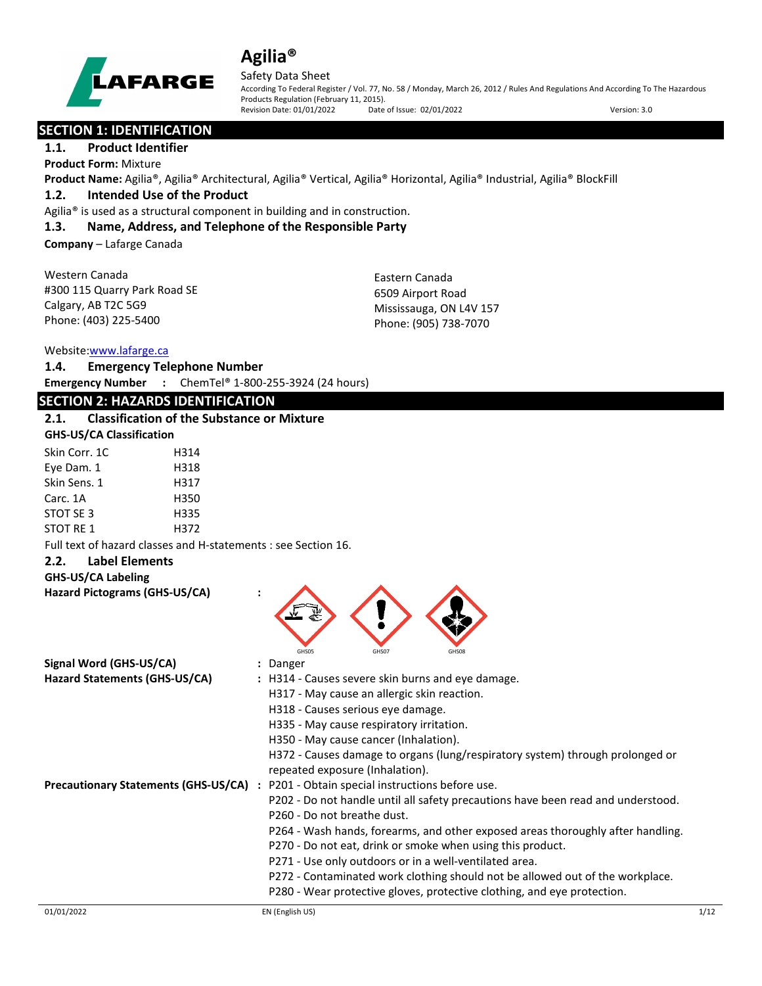

#### Safety Data Sheet

According To Federal Register / Vol. 77, No. 58 / Monday, March 26, 2012 / Rules And Regulations And According To The Hazardous Products Regulation (February 11, 2015).<br>Revision Date: 01/01/2022 Date of Issue: 02/01/2022 Revision Date: 01/01/2022 Date of Issue: 02/01/2022 Version: 3.0

### **SECTION 1: IDENTIFICATION**

### **1.1. Product Identifier**

**Product Form:** Mixture

**Product Name:** Agilia®, Agilia® Architectural, Agilia® Vertical, Agilia® Horizontal, Agilia® Industrial, Agilia® BlockFill

### **1.2. Intended Use of the Product**

Agilia® is used as a structural component in building and in construction.

#### **1.3. Name, Address, and Telephone of the Responsible Party**

**Company** – Lafarge Canada

Western Canada #300 115 Quarry Park Road SE Calgary, AB T2C 5G9 Phone: (403) 225-5400

Eastern Canada 6509 Airport Road Mississauga, ON L4V 157 Phone: (905) 738-7070

### Website[:www.lafarge.ca](file://leon/customers/CUSTOMERS/Lafarge_North_America_Inc/Projects/Authoring_20180316/Batch_Folder/B_Draft_SDS/MS_Word_Files/www.lafarge.ca)

**1.4. Emergency Telephone Number Emergency Number :** ChemTel® 1-800-255-3924 (24 hours)

### **SECTION 2: HAZARDS IDENTIFICATION**

| 2.1. | <b>Classification of the Substance or Mixture</b> |
|------|---------------------------------------------------|
|      | <b>GHS-US/CA Classification</b>                   |

| Skin Corr. 1C | H314 |
|---------------|------|
| Eye Dam. 1    | H318 |
| Skin Sens. 1  | H317 |
| Carc. 1A      | H350 |
| STOT SE 3     | H335 |
| STOT RE 1     | H372 |

Full text of hazard classes and H-statements : see Section 16.

#### **2.2. Label Elements**

**GHS-US/CA Labeling**

| GHS-US/CA Labeling                          |                                                                               |
|---------------------------------------------|-------------------------------------------------------------------------------|
| Hazard Pictograms (GHS-US/CA)               | GHS05<br>GHS07<br>GHS08                                                       |
| Signal Word (GHS-US/CA)                     | Danger                                                                        |
| Hazard Statements (GHS-US/CA)               | : H314 - Causes severe skin burns and eye damage.                             |
|                                             | H317 - May cause an allergic skin reaction.                                   |
|                                             | H318 - Causes serious eye damage.                                             |
|                                             | H335 - May cause respiratory irritation.                                      |
|                                             | H350 - May cause cancer (Inhalation).                                         |
|                                             | H372 - Causes damage to organs (lung/respiratory system) through prolonged or |
|                                             | repeated exposure (Inhalation).                                               |
| <b>Precautionary Statements (GHS-US/CA)</b> | P201 - Obtain special instructions before use.                                |

P202 - Do not handle until all safety precautions have been read and understood.

- P260 Do not breathe dust.
- P264 Wash hands, forearms, and other exposed areas thoroughly after handling.
- P270 Do not eat, drink or smoke when using this product.
- P271 Use only outdoors or in a well-ventilated area.
- P272 Contaminated work clothing should not be allowed out of the workplace.
- P280 Wear protective gloves, protective clothing, and eye protection.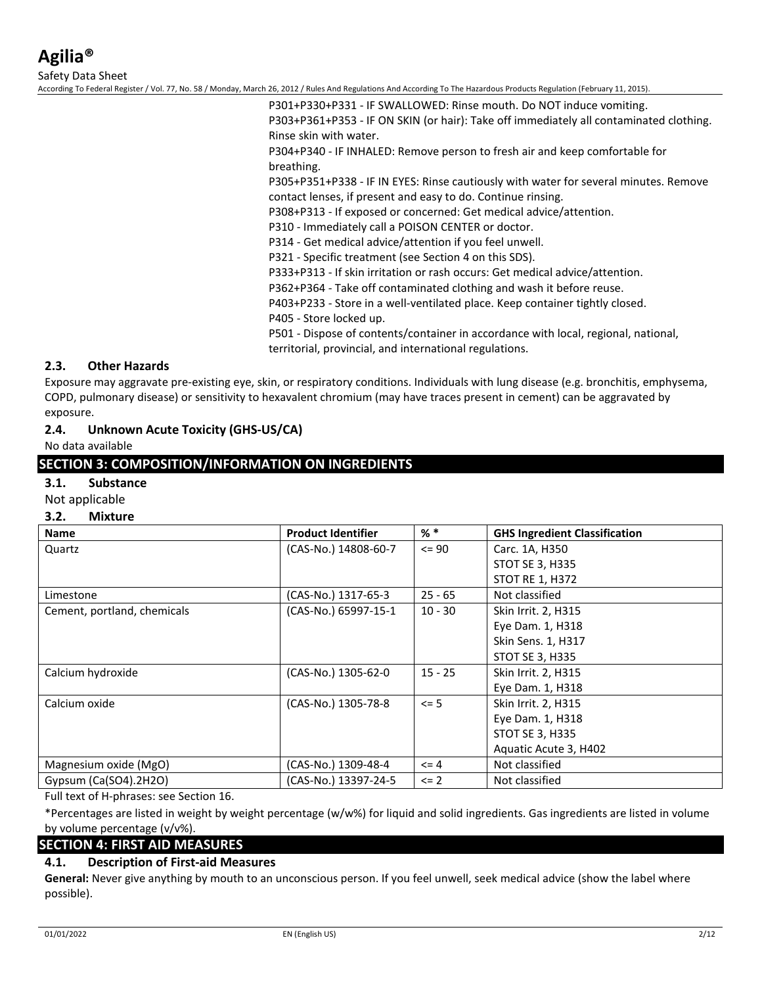Safety Data Sheet

According To Federal Register / Vol. 77, No. 58 / Monday, March 26, 2012 / Rules And Regulations And According To The Hazardous Products Regulation (February 11, 2015).

P301+P330+P331 - IF SWALLOWED: Rinse mouth. Do NOT induce vomiting. P303+P361+P353 - IF ON SKIN (or hair): Take off immediately all contaminated clothing. Rinse skin with water.

P304+P340 - IF INHALED: Remove person to fresh air and keep comfortable for breathing.

P305+P351+P338 - IF IN EYES: Rinse cautiously with water for several minutes. Remove contact lenses, if present and easy to do. Continue rinsing.

P308+P313 - If exposed or concerned: Get medical advice/attention.

P310 - Immediately call a POISON CENTER or doctor.

P314 - Get medical advice/attention if you feel unwell.

P321 - Specific treatment (see Section 4 on this SDS).

P333+P313 - If skin irritation or rash occurs: Get medical advice/attention.

P362+P364 - Take off contaminated clothing and wash it before reuse.

P403+P233 - Store in a well-ventilated place. Keep container tightly closed.

P405 - Store locked up.

P501 - Dispose of contents/container in accordance with local, regional, national,

territorial, provincial, and international regulations.

### **2.3. Other Hazards**

Exposure may aggravate pre-existing eye, skin, or respiratory conditions. Individuals with lung disease (e.g. bronchitis, emphysema, COPD, pulmonary disease) or sensitivity to hexavalent chromium (may have traces present in cement) can be aggravated by exposure.

### **2.4. Unknown Acute Toxicity (GHS-US/CA)**

No data available

### **SECTION 3: COMPOSITION/INFORMATION ON INGREDIENTS**

#### **3.1. Substance**

Not applicable

#### **3.2. Mixture**

| <b>Name</b>                 | <b>Product Identifier</b> | % *       | <b>GHS Ingredient Classification</b> |
|-----------------------------|---------------------------|-----------|--------------------------------------|
| Quartz                      | (CAS-No.) 14808-60-7      | $\leq$ 90 | Carc. 1A, H350                       |
|                             |                           |           | <b>STOT SE 3, H335</b>               |
|                             |                           |           | <b>STOT RE 1, H372</b>               |
| Limestone                   | (CAS-No.) 1317-65-3       | $25 - 65$ | Not classified                       |
| Cement, portland, chemicals | (CAS-No.) 65997-15-1      | $10 - 30$ | Skin Irrit. 2, H315                  |
|                             |                           |           | Eye Dam. 1, H318                     |
|                             |                           |           | Skin Sens. 1, H317                   |
|                             |                           |           | <b>STOT SE 3, H335</b>               |
| Calcium hydroxide           | (CAS-No.) 1305-62-0       | $15 - 25$ | Skin Irrit. 2, H315                  |
|                             |                           |           | Eye Dam. 1, H318                     |
| Calcium oxide               | (CAS-No.) 1305-78-8       | $\leq$ 5  | Skin Irrit. 2, H315                  |
|                             |                           |           | Eye Dam. 1, H318                     |
|                             |                           |           | <b>STOT SE 3, H335</b>               |
|                             |                           |           | Aquatic Acute 3, H402                |
| Magnesium oxide (MgO)       | (CAS-No.) 1309-48-4       | $\leq$ 4  | Not classified                       |
| Gypsum $(Ca(SO4).2H2O)$     | (CAS-No.) 13397-24-5      | $\leq$ 2  | Not classified                       |

Full text of H-phrases: see Section 16.

\*Percentages are listed in weight by weight percentage (w/w%) for liquid and solid ingredients. Gas ingredients are listed in volume by volume percentage (v/v%).

### **SECTION 4: FIRST AID MEASURES**

### **4.1. Description of First-aid Measures**

**General:** Never give anything by mouth to an unconscious person. If you feel unwell, seek medical advice (show the label where possible).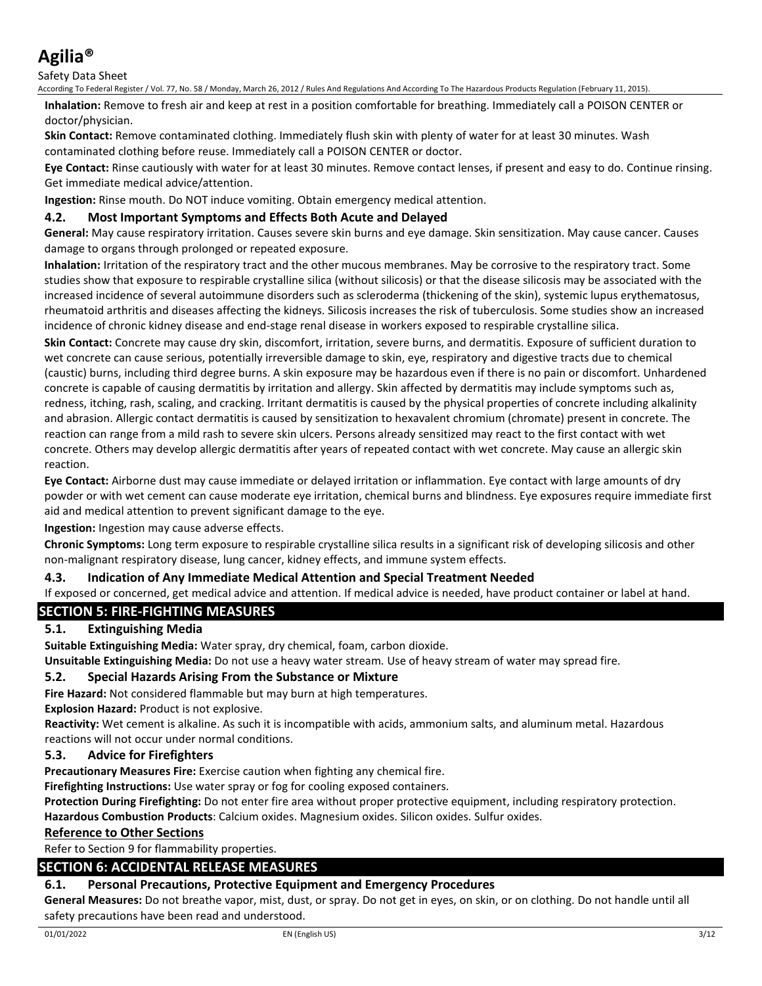Safety Data Sheet

According To Federal Register / Vol. 77, No. 58 / Monday, March 26, 2012 / Rules And Regulations And According To The Hazardous Products Regulation (February 11, 2015).

**Inhalation:** Remove to fresh air and keep at rest in a position comfortable for breathing. Immediately call a POISON CENTER or doctor/physician.

**Skin Contact:** Remove contaminated clothing. Immediately flush skin with plenty of water for at least 30 minutes. Wash contaminated clothing before reuse. Immediately call a POISON CENTER or doctor.

**Eye Contact:** Rinse cautiously with water for at least 30 minutes. Remove contact lenses, if present and easy to do. Continue rinsing. Get immediate medical advice/attention.

**Ingestion:** Rinse mouth. Do NOT induce vomiting. Obtain emergency medical attention.

### **4.2. Most Important Symptoms and Effects Both Acute and Delayed**

**General:** May cause respiratory irritation. Causes severe skin burns and eye damage. Skin sensitization. May cause cancer. Causes damage to organs through prolonged or repeated exposure.

**Inhalation:** Irritation of the respiratory tract and the other mucous membranes. May be corrosive to the respiratory tract. Some studies show that exposure to respirable crystalline silica (without silicosis) or that the disease silicosis may be associated with the increased incidence of several autoimmune disorders such as scleroderma (thickening of the skin), systemic lupus erythematosus, rheumatoid arthritis and diseases affecting the kidneys. Silicosis increases the risk of tuberculosis. Some studies show an increased incidence of chronic kidney disease and end-stage renal disease in workers exposed to respirable crystalline silica.

**Skin Contact:** Concrete may cause dry skin, discomfort, irritation, severe burns, and dermatitis. Exposure of sufficient duration to wet concrete can cause serious, potentially irreversible damage to skin, eye, respiratory and digestive tracts due to chemical (caustic) burns, including third degree burns. A skin exposure may be hazardous even if there is no pain or discomfort. Unhardened concrete is capable of causing dermatitis by irritation and allergy. Skin affected by dermatitis may include symptoms such as, redness, itching, rash, scaling, and cracking. Irritant dermatitis is caused by the physical properties of concrete including alkalinity and abrasion. Allergic contact dermatitis is caused by sensitization to hexavalent chromium (chromate) present in concrete. The reaction can range from a mild rash to severe skin ulcers. Persons already sensitized may react to the first contact with wet concrete. Others may develop allergic dermatitis after years of repeated contact with wet concrete. May cause an allergic skin reaction.

**Eye Contact:** Airborne dust may cause immediate or delayed irritation or inflammation. Eye contact with large amounts of dry powder or with wet cement can cause moderate eye irritation, chemical burns and blindness. Eye exposures require immediate first aid and medical attention to prevent significant damage to the eye.

**Ingestion:** Ingestion may cause adverse effects.

**Chronic Symptoms:** Long term exposure to respirable crystalline silica results in a significant risk of developing silicosis and other non-malignant respiratory disease, lung cancer, kidney effects, and immune system effects.

### **4.3. Indication of Any Immediate Medical Attention and Special Treatment Needed**

If exposed or concerned, get medical advice and attention. If medical advice is needed, have product container or label at hand.

### **SECTION 5: FIRE-FIGHTING MEASURES**

### **5.1. Extinguishing Media**

**Suitable Extinguishing Media:** Water spray, dry chemical, foam, carbon dioxide.

**Unsuitable Extinguishing Media:** Do not use a heavy water stream. Use of heavy stream of water may spread fire.

### **5.2. Special Hazards Arising From the Substance or Mixture**

**Fire Hazard:** Not considered flammable but may burn at high temperatures.

**Explosion Hazard:** Product is not explosive.

**Reactivity:** Wet cement is alkaline. As such it is incompatible with acids, ammonium salts, and aluminum metal. Hazardous reactions will not occur under normal conditions.

### **5.3. Advice for Firefighters**

**Precautionary Measures Fire:** Exercise caution when fighting any chemical fire.

**Firefighting Instructions:** Use water spray or fog for cooling exposed containers.

**Protection During Firefighting:** Do not enter fire area without proper protective equipment, including respiratory protection. **Hazardous Combustion Products**: Calcium oxides. Magnesium oxides. Silicon oxides. Sulfur oxides.

### **Reference to Other Sections**

Refer to Section 9 for flammability properties.

### **SECTION 6: ACCIDENTAL RELEASE MEASURES**

### **6.1. Personal Precautions, Protective Equipment and Emergency Procedures**

**General Measures:** Do not breathe vapor, mist, dust, or spray. Do not get in eyes, on skin, or on clothing. Do not handle until all safety precautions have been read and understood.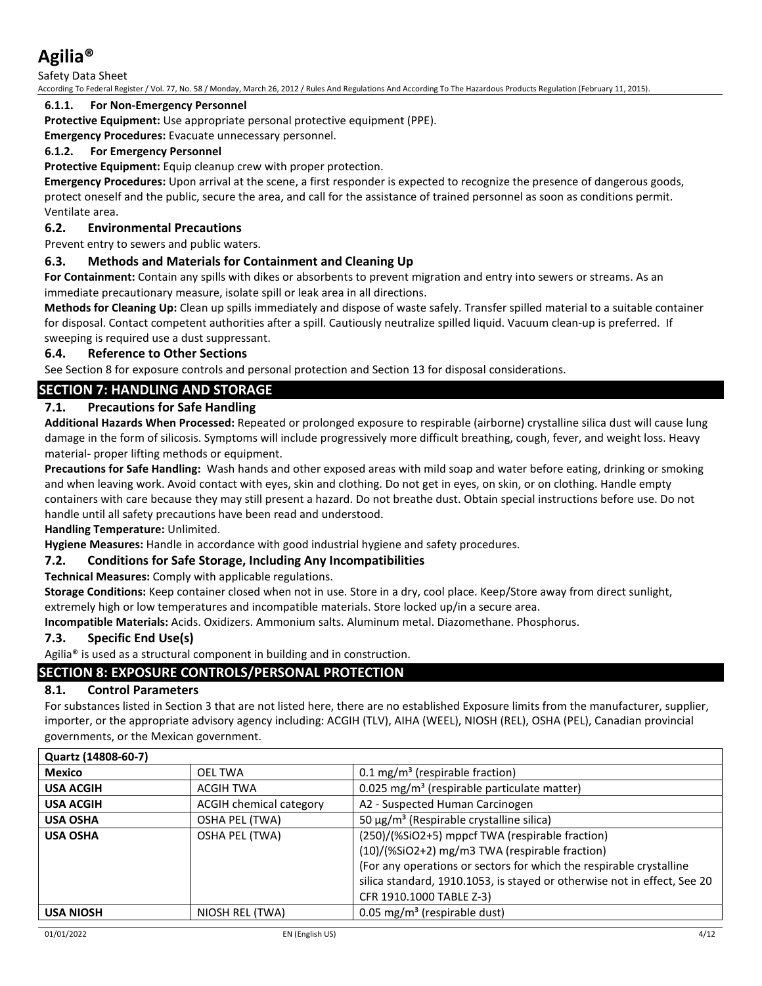Safety Data Sheet

According To Federal Register / Vol. 77, No. 58 / Monday, March 26, 2012 / Rules And Regulations And According To The Hazardous Products Regulation (February 11, 2015).

### **6.1.1. For Non-Emergency Personnel**

**Protective Equipment:** Use appropriate personal protective equipment (PPE).

**Emergency Procedures:** Evacuate unnecessary personnel.

### **6.1.2. For Emergency Personnel**

**Protective Equipment:** Equip cleanup crew with proper protection.

**Emergency Procedures:** Upon arrival at the scene, a first responder is expected to recognize the presence of dangerous goods, protect oneself and the public, secure the area, and call for the assistance of trained personnel as soon as conditions permit. Ventilate area.

### **6.2. Environmental Precautions**

Prevent entry to sewers and public waters.

### **6.3. Methods and Materials for Containment and Cleaning Up**

**For Containment:** Contain any spills with dikes or absorbents to prevent migration and entry into sewers or streams. As an immediate precautionary measure, isolate spill or leak area in all directions.

**Methods for Cleaning Up:** Clean up spills immediately and dispose of waste safely. Transfer spilled material to a suitable container for disposal. Contact competent authorities after a spill. Cautiously neutralize spilled liquid. Vacuum clean-up is preferred. If sweeping is required use a dust suppressant.

### **6.4. Reference to Other Sections**

See Section 8 for exposure controls and personal protection and Section 13 for disposal considerations.

### **SECTION 7: HANDLING AND STORAGE**

### **7.1. Precautions for Safe Handling**

**Additional Hazards When Processed:** Repeated or prolonged exposure to respirable (airborne) crystalline silica dust will cause lung damage in the form of silicosis. Symptoms will include progressively more difficult breathing, cough, fever, and weight loss. Heavy material- proper lifting methods or equipment.

**Precautions for Safe Handling:** Wash hands and other exposed areas with mild soap and water before eating, drinking or smoking and when leaving work. Avoid contact with eyes, skin and clothing. Do not get in eyes, on skin, or on clothing. Handle empty containers with care because they may still present a hazard. Do not breathe dust. Obtain special instructions before use. Do not handle until all safety precautions have been read and understood.

### **Handling Temperature:** Unlimited.

**Hygiene Measures:** Handle in accordance with good industrial hygiene and safety procedures.

### **7.2. Conditions for Safe Storage, Including Any Incompatibilities**

**Technical Measures:** Comply with applicable regulations.

**Storage Conditions:** Keep container closed when not in use. Store in a dry, cool place. Keep/Store away from direct sunlight, extremely high or low temperatures and incompatible materials. Store locked up/in a secure area.

**Incompatible Materials:** Acids. Oxidizers. Ammonium salts. Aluminum metal. Diazomethane. Phosphorus.

### **7.3. Specific End Use(s)**

Agilia® is used as a structural component in building and in construction.

### **SECTION 8: EXPOSURE CONTROLS/PERSONAL PROTECTION**

### **8.1. Control Parameters**

For substances listed in Section 3 that are not listed here, there are no established Exposure limits from the manufacturer, supplier, importer, or the appropriate advisory agency including: ACGIH (TLV), AIHA (WEEL), NIOSH (REL), OSHA (PEL), Canadian provincial governments, or the Mexican government.

| Quartz (14808-60-7) |                                |                                                                                                                                                                                                                                                                                  |
|---------------------|--------------------------------|----------------------------------------------------------------------------------------------------------------------------------------------------------------------------------------------------------------------------------------------------------------------------------|
| Mexico              | OEL TWA                        | $0.1 \text{ mg/m}^3$ (respirable fraction)                                                                                                                                                                                                                                       |
| <b>USA ACGIH</b>    | <b>ACGIH TWA</b>               | 0.025 mg/m <sup>3</sup> (respirable particulate matter)                                                                                                                                                                                                                          |
| <b>USA ACGIH</b>    | <b>ACGIH chemical category</b> | A2 - Suspected Human Carcinogen                                                                                                                                                                                                                                                  |
| <b>USA OSHA</b>     | OSHA PEL (TWA)                 | 50 μg/m <sup>3</sup> (Respirable crystalline silica)                                                                                                                                                                                                                             |
| <b>USA OSHA</b>     | OSHA PEL (TWA)                 | (250)/(%SiO2+5) mppcf TWA (respirable fraction)<br>(10)/(%SiO2+2) mg/m3 TWA (respirable fraction)<br>(For any operations or sectors for which the respirable crystalline<br>silica standard, 1910.1053, is stayed or otherwise not in effect, See 20<br>CFR 1910.1000 TABLE Z-3) |
| <b>USA NIOSH</b>    | NIOSH REL (TWA)                | 0.05 mg/m <sup>3</sup> (respirable dust)                                                                                                                                                                                                                                         |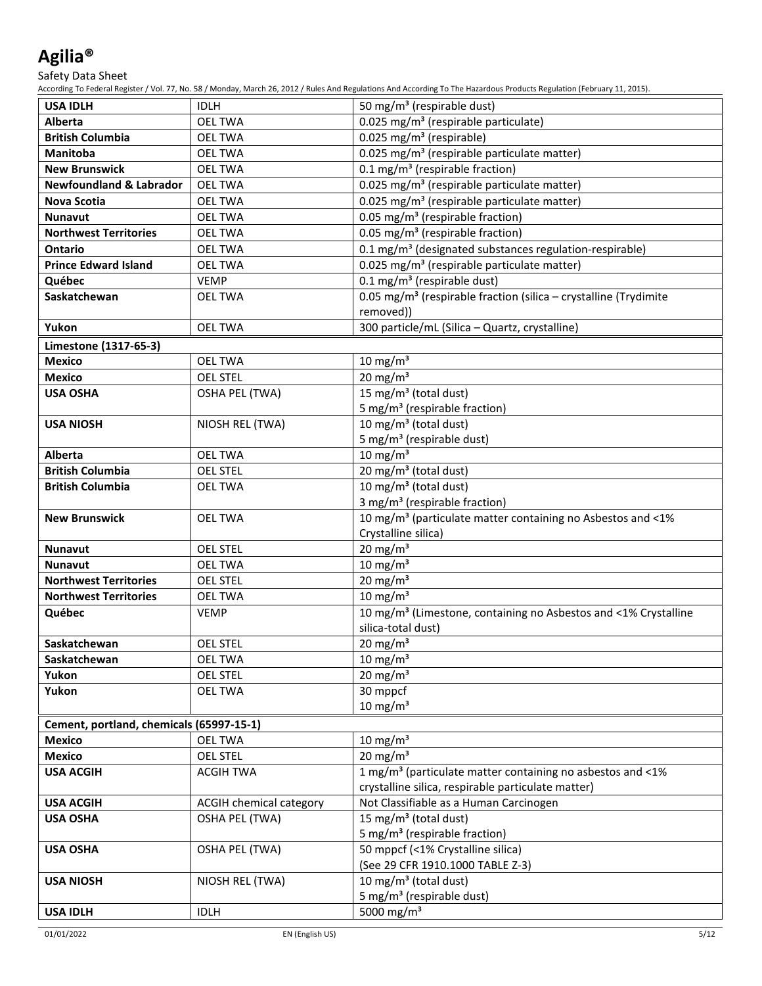Safety Data Sheet

| <b>USA IDLH</b>                          | <b>IDLH</b>                    | 50 mg/m <sup>3</sup> (respirable dust)                                       |
|------------------------------------------|--------------------------------|------------------------------------------------------------------------------|
| Alberta                                  | <b>OEL TWA</b>                 | 0.025 mg/m <sup>3</sup> (respirable particulate)                             |
| <b>British Columbia</b>                  | <b>OEL TWA</b>                 | $\overline{0.025}$ mg/m <sup>3</sup> (respirable)                            |
| <b>Manitoba</b>                          | <b>OEL TWA</b>                 | 0.025 mg/m <sup>3</sup> (respirable particulate matter)                      |
| <b>New Brunswick</b>                     | <b>OEL TWA</b>                 | 0.1 mg/m <sup>3</sup> (respirable fraction)                                  |
| <b>Newfoundland &amp; Labrador</b>       | <b>OEL TWA</b>                 | 0.025 mg/m <sup>3</sup> (respirable particulate matter)                      |
| Nova Scotia                              | <b>OEL TWA</b>                 | 0.025 mg/m <sup>3</sup> (respirable particulate matter)                      |
| Nunavut                                  | <b>OEL TWA</b>                 | 0.05 mg/m <sup>3</sup> (respirable fraction)                                 |
| <b>Northwest Territories</b>             | <b>OEL TWA</b>                 | 0.05 mg/m <sup>3</sup> (respirable fraction)                                 |
| <b>Ontario</b>                           | <b>OEL TWA</b>                 | 0.1 mg/m <sup>3</sup> (designated substances regulation-respirable)          |
| <b>Prince Edward Island</b>              | <b>OEL TWA</b>                 | 0.025 mg/m <sup>3</sup> (respirable particulate matter)                      |
| Québec                                   | <b>VEMP</b>                    | $0.1 \text{ mg/m}^3$ (respirable dust)                                       |
| Saskatchewan                             | OEL TWA                        | 0.05 mg/m <sup>3</sup> (respirable fraction (silica - crystalline (Trydimite |
|                                          |                                | removed))                                                                    |
| Yukon                                    | <b>OEL TWA</b>                 | 300 particle/mL (Silica - Quartz, crystalline)                               |
| Limestone (1317-65-3)                    |                                |                                                                              |
| <b>Mexico</b>                            | <b>OEL TWA</b>                 | $10 \text{ mg/m}^3$                                                          |
| <b>Mexico</b>                            | <b>OEL STEL</b>                | $20 \text{ mg/m}^3$                                                          |
| <b>USA OSHA</b>                          | <b>OSHA PEL (TWA)</b>          | 15 mg/m <sup>3</sup> (total dust)                                            |
|                                          |                                | 5 mg/m <sup>3</sup> (respirable fraction)                                    |
| <b>USA NIOSH</b>                         | NIOSH REL (TWA)                | 10 mg/m <sup>3</sup> (total dust)                                            |
|                                          |                                | 5 mg/m <sup>3</sup> (respirable dust)                                        |
| <b>Alberta</b>                           | <b>OEL TWA</b>                 | $10 \text{ mg/m}^3$                                                          |
| <b>British Columbia</b>                  | <b>OEL STEL</b>                | 20 mg/m <sup>3</sup> (total dust)                                            |
| <b>British Columbia</b>                  | <b>OEL TWA</b>                 | $\overline{10}$ mg/m <sup>3</sup> (total dust)                               |
|                                          |                                | 3 mg/m <sup>3</sup> (respirable fraction)                                    |
| <b>New Brunswick</b>                     | <b>OEL TWA</b>                 | 10 mg/m <sup>3</sup> (particulate matter containing no Asbestos and <1%      |
|                                          |                                | Crystalline silica)                                                          |
| Nunavut                                  | <b>OEL STEL</b>                | $20 \text{ mg/m}^3$                                                          |
| <b>Nunavut</b>                           | <b>OEL TWA</b>                 | $10 \text{ mg/m}^3$                                                          |
| <b>Northwest Territories</b>             | <b>OEL STEL</b>                | $20 \text{ mg/m}^3$                                                          |
| <b>Northwest Territories</b>             | <b>OEL TWA</b>                 | 10 mg/m $3$                                                                  |
| Québec                                   | <b>VEMP</b>                    | 10 mg/m <sup>3</sup> (Limestone, containing no Asbestos and <1% Crystalline  |
|                                          |                                | silica-total dust)                                                           |
| Saskatchewan                             | <b>OEL STEL</b>                | 20 mg/m <sup>3</sup>                                                         |
| Saskatchewan                             | OEL TWA                        | 10 mg/m <sup>3</sup>                                                         |
| Yukon                                    | <b>OEL STEL</b>                | 20 mg/m <sup>3</sup>                                                         |
| Yukon                                    | <b>OEL TWA</b>                 | 30 mppcf                                                                     |
|                                          |                                | $10 \text{ mg/m}^3$                                                          |
| Cement, portland, chemicals (65997-15-1) |                                |                                                                              |
| <b>Mexico</b>                            | <b>OEL TWA</b>                 | 10 mg/m $3$                                                                  |
| <b>Mexico</b>                            | <b>OEL STEL</b>                | $20 \text{ mg/m}^3$                                                          |
| <b>USA ACGIH</b>                         | <b>ACGIH TWA</b>               | 1 mg/m <sup>3</sup> (particulate matter containing no asbestos and <1%       |
|                                          |                                | crystalline silica, respirable particulate matter)                           |
| <b>USA ACGIH</b>                         | <b>ACGIH chemical category</b> | Not Classifiable as a Human Carcinogen                                       |
| <b>USA OSHA</b>                          | <b>OSHA PEL (TWA)</b>          | 15 mg/m <sup>3</sup> (total dust)                                            |
|                                          |                                | 5 mg/m <sup>3</sup> (respirable fraction)                                    |
| <b>USA OSHA</b>                          | <b>OSHA PEL (TWA)</b>          | 50 mppcf (<1% Crystalline silica)                                            |
|                                          |                                | (See 29 CFR 1910.1000 TABLE Z-3)                                             |
| <b>USA NIOSH</b>                         | NIOSH REL (TWA)                | 10 mg/m <sup>3</sup> (total dust)                                            |
|                                          |                                | 5 mg/m <sup>3</sup> (respirable dust)                                        |
| <b>USA IDLH</b>                          | <b>IDLH</b>                    | 5000 mg/m <sup>3</sup>                                                       |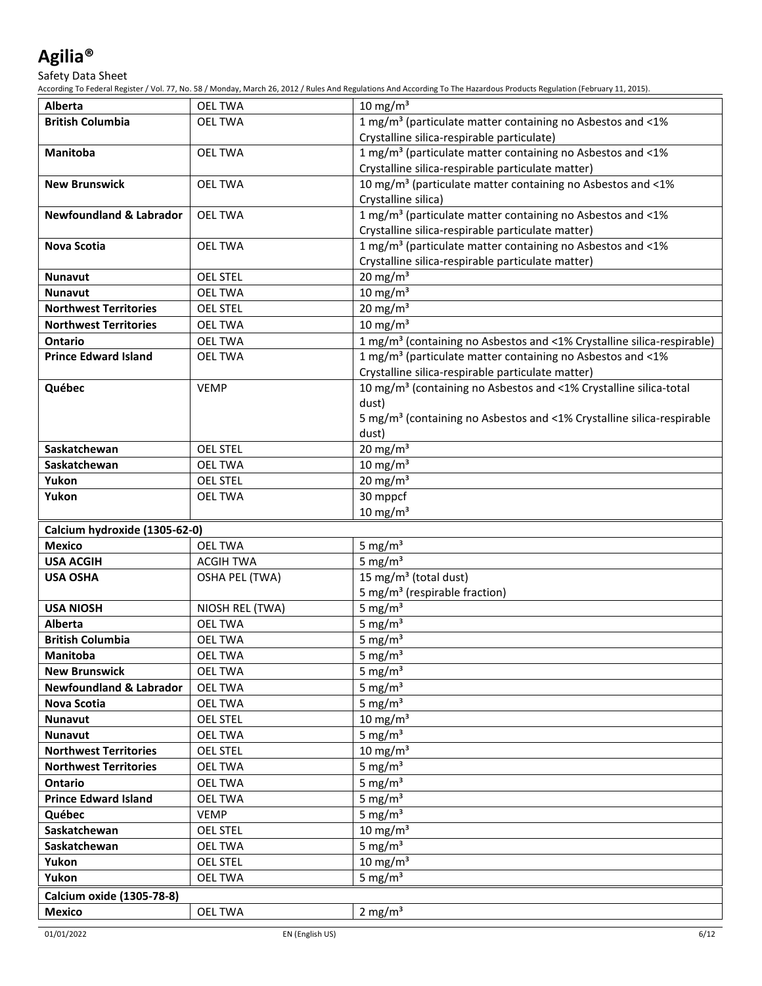### Safety Data Sheet

| <b>Alberta</b>                     | <b>OEL TWA</b>        | $10 \text{ mg/m}^3$                                                                |  |
|------------------------------------|-----------------------|------------------------------------------------------------------------------------|--|
| <b>British Columbia</b>            | <b>OEL TWA</b>        | 1 mg/m <sup>3</sup> (particulate matter containing no Asbestos and <1%             |  |
|                                    |                       | Crystalline silica-respirable particulate)                                         |  |
| Manitoba                           | <b>OEL TWA</b>        | 1 mg/m <sup>3</sup> (particulate matter containing no Asbestos and <1%             |  |
|                                    |                       | Crystalline silica-respirable particulate matter)                                  |  |
| <b>New Brunswick</b>               | <b>OEL TWA</b>        | 10 mg/m <sup>3</sup> (particulate matter containing no Asbestos and <1%            |  |
|                                    |                       | Crystalline silica)                                                                |  |
| <b>Newfoundland &amp; Labrador</b> | <b>OEL TWA</b>        | 1 mg/m <sup>3</sup> (particulate matter containing no Asbestos and <1%             |  |
|                                    |                       | Crystalline silica-respirable particulate matter)                                  |  |
| Nova Scotia                        | <b>OEL TWA</b>        | 1 mg/m <sup>3</sup> (particulate matter containing no Asbestos and <1%             |  |
|                                    |                       | Crystalline silica-respirable particulate matter)                                  |  |
| <b>Nunavut</b>                     | <b>OEL STEL</b>       | $20 \text{ mg/m}^3$                                                                |  |
| <b>Nunavut</b>                     | <b>OEL TWA</b>        | $10 \text{ mg/m}^3$                                                                |  |
| <b>Northwest Territories</b>       | <b>OEL STEL</b>       | $20 \text{ mg/m}^3$                                                                |  |
| <b>Northwest Territories</b>       | <b>OEL TWA</b>        | 10 mg/m $3$                                                                        |  |
| <b>Ontario</b>                     | <b>OEL TWA</b>        | 1 mg/m <sup>3</sup> (containing no Asbestos and <1% Crystalline silica-respirable) |  |
| <b>Prince Edward Island</b>        | <b>OEL TWA</b>        | 1 mg/m <sup>3</sup> (particulate matter containing no Asbestos and <1%             |  |
|                                    |                       | Crystalline silica-respirable particulate matter)                                  |  |
| Québec                             | <b>VEMP</b>           | 10 mg/m <sup>3</sup> (containing no Asbestos and <1% Crystalline silica-total      |  |
|                                    |                       | dust)                                                                              |  |
|                                    |                       | 5 mg/m <sup>3</sup> (containing no Asbestos and <1% Crystalline silica-respirable  |  |
|                                    |                       | dust)                                                                              |  |
| Saskatchewan                       | <b>OEL STEL</b>       | $20 \text{ mg/m}^3$                                                                |  |
| Saskatchewan                       | <b>OEL TWA</b>        | $10 \text{ mg/m}^3$                                                                |  |
| Yukon                              | <b>OEL STEL</b>       | $20 \text{ mg/m}^3$                                                                |  |
| Yukon                              | <b>OEL TWA</b>        | 30 mppcf                                                                           |  |
|                                    |                       | $10 \text{ mg/m}^3$                                                                |  |
| Calcium hydroxide (1305-62-0)      |                       |                                                                                    |  |
| <b>Mexico</b>                      | <b>OEL TWA</b>        | 5 mg/ $m3$                                                                         |  |
| <b>USA ACGIH</b>                   | <b>ACGIH TWA</b>      | 5 mg/ $m3$                                                                         |  |
| <b>USA OSHA</b>                    | <b>OSHA PEL (TWA)</b> | 15 mg/m <sup>3</sup> (total dust)                                                  |  |
|                                    |                       | 5 mg/m <sup>3</sup> (respirable fraction)                                          |  |
| <b>USA NIOSH</b>                   | NIOSH REL (TWA)       | 5 mg/ $m3$                                                                         |  |
| <b>Alberta</b>                     | <b>OEL TWA</b>        | 5 mg/ $m3$                                                                         |  |
| <b>British Columbia</b>            | <b>OEL TWA</b>        | 5 mg/ $m3$                                                                         |  |
| Manitoba                           | <b>OEL TWA</b>        | 5 mg/ $m3$                                                                         |  |
| <b>New Brunswick</b>               | OEL TWA               | 5 mg/ $m3$                                                                         |  |
| <b>Newfoundland &amp; Labrador</b> | <b>OEL TWA</b>        | 5 mg/ $m3$                                                                         |  |
| <b>Nova Scotia</b>                 | <b>OEL TWA</b>        | 5 mg/ $m3$                                                                         |  |
| Nunavut                            | <b>OEL STEL</b>       | 10 mg/m $3$                                                                        |  |
| <b>Nunavut</b>                     | <b>OEL TWA</b>        | 5 mg/ $m3$                                                                         |  |
| <b>Northwest Territories</b>       | <b>OEL STEL</b>       | 10 mg/m $3$                                                                        |  |
| <b>Northwest Territories</b>       | <b>OEL TWA</b>        | 5 mg/ $m3$                                                                         |  |
| Ontario                            | <b>OEL TWA</b>        | 5 mg/ $m3$                                                                         |  |
| <b>Prince Edward Island</b>        | <b>OEL TWA</b>        | 5 mg/ $m3$                                                                         |  |
| Québec                             | <b>VEMP</b>           | 5 mg/ $m3$                                                                         |  |
| Saskatchewan                       | <b>OEL STEL</b>       | 10 mg/m $3$                                                                        |  |
| Saskatchewan                       | OEL TWA               | 5 mg/ $m3$                                                                         |  |
| Yukon                              | <b>OEL STEL</b>       | $10 \text{ mg/m}^3$                                                                |  |
| Yukon                              | <b>OEL TWA</b>        | 5 mg/ $m3$                                                                         |  |
| Calcium oxide (1305-78-8)          |                       |                                                                                    |  |
| <b>Mexico</b>                      | <b>OEL TWA</b>        | 2 mg/ $m3$                                                                         |  |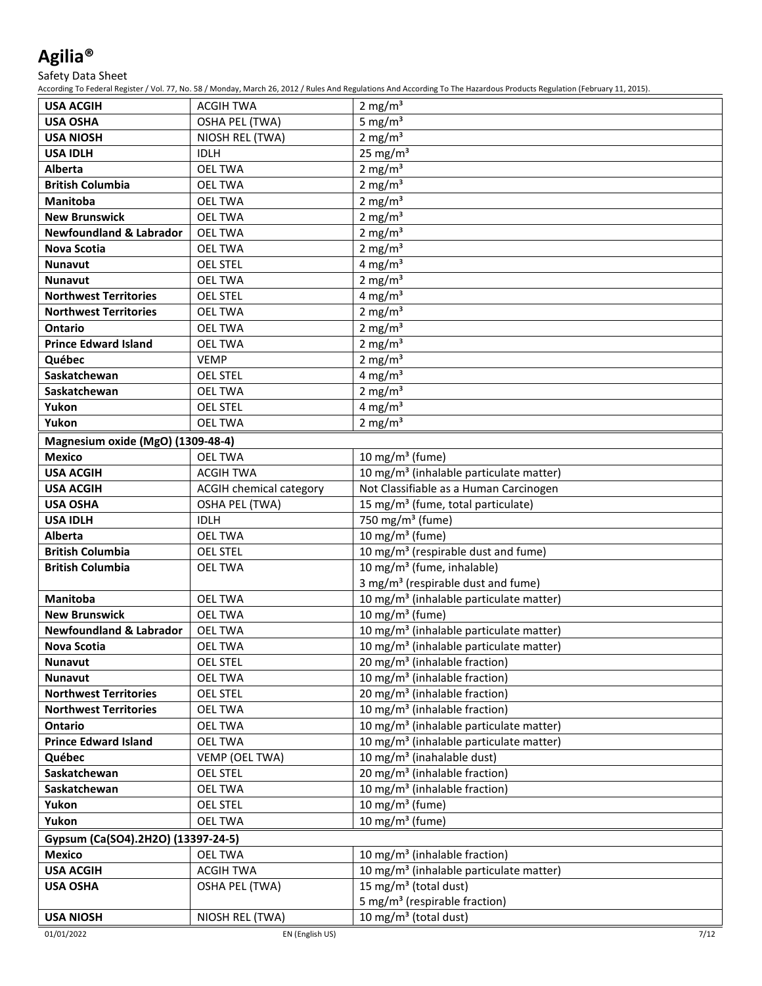Safety Data Sheet

| <b>USA ACGIH</b>                                   | <b>ACGIH TWA</b>                                        | 2 mg/ $m3$                                                                               |  |
|----------------------------------------------------|---------------------------------------------------------|------------------------------------------------------------------------------------------|--|
| <b>USA OSHA</b>                                    | <b>OSHA PEL (TWA)</b>                                   | 5 mg/ $m3$                                                                               |  |
| <b>USA NIOSH</b>                                   | NIOSH REL (TWA)                                         | 2 mg/m $3$                                                                               |  |
| <b>USA IDLH</b>                                    | <b>IDLH</b>                                             | 25 mg/ $m3$                                                                              |  |
| Alberta                                            | <b>OEL TWA</b>                                          | 2 mg/ $m3$                                                                               |  |
| <b>British Columbia</b>                            | <b>OEL TWA</b>                                          | 2 mg/ $m3$                                                                               |  |
| <b>Manitoba</b>                                    | <b>OEL TWA</b>                                          | 2 mg/ $m3$                                                                               |  |
| <b>New Brunswick</b>                               | <b>OEL TWA</b>                                          | 2 mg/ $m3$                                                                               |  |
| <b>Newfoundland &amp; Labrador</b>                 | <b>OEL TWA</b>                                          | 2 mg/m $3$                                                                               |  |
| <b>Nova Scotia</b>                                 | <b>OEL TWA</b>                                          | 2 mg/ $m3$                                                                               |  |
| <b>Nunavut</b>                                     | <b>OEL STEL</b>                                         | 4 mg/m <sup>3</sup>                                                                      |  |
| <b>Nunavut</b>                                     | <b>OEL TWA</b>                                          | 2 mg/ $m3$                                                                               |  |
| <b>Northwest Territories</b>                       | <b>OEL STEL</b>                                         | 4 mg/m $3$                                                                               |  |
| <b>Northwest Territories</b>                       | <b>OEL TWA</b>                                          | 2 mg/ $m3$                                                                               |  |
| <b>Ontario</b>                                     | <b>OEL TWA</b>                                          | 2 mg/m $3$                                                                               |  |
| <b>Prince Edward Island</b>                        | <b>OEL TWA</b>                                          | 2 mg/m $3$                                                                               |  |
| Québec                                             | <b>VEMP</b>                                             | 2 mg/ $m3$                                                                               |  |
| Saskatchewan                                       | <b>OEL STEL</b>                                         | 4 mg/m <sup>3</sup>                                                                      |  |
| Saskatchewan                                       | <b>OEL TWA</b>                                          | 2 mg/m $3$                                                                               |  |
| Yukon                                              | <b>OEL STEL</b>                                         | 4 mg/m $3$                                                                               |  |
| Yukon                                              | <b>OEL TWA</b>                                          | 2 mg/ $m3$                                                                               |  |
|                                                    |                                                         |                                                                                          |  |
| Magnesium oxide (MgO) (1309-48-4)<br><b>Mexico</b> | <b>OEL TWA</b>                                          | 10 mg/m <sup>3</sup> (fume)                                                              |  |
| <b>USA ACGIH</b>                                   | <b>ACGIH TWA</b>                                        | 10 mg/m <sup>3</sup> (inhalable particulate matter)                                      |  |
| <b>USA ACGIH</b>                                   |                                                         | Not Classifiable as a Human Carcinogen                                                   |  |
| <b>USA OSHA</b>                                    | <b>ACGIH chemical category</b><br><b>OSHA PEL (TWA)</b> | 15 mg/m <sup>3</sup> (fume, total particulate)                                           |  |
|                                                    | <b>IDLH</b>                                             | 750 mg/m <sup>3</sup> (fume)                                                             |  |
| <b>USA IDLH</b><br>Alberta                         | <b>OEL TWA</b>                                          | 10 mg/m $3$ (fume)                                                                       |  |
|                                                    |                                                         |                                                                                          |  |
| <b>British Columbia</b>                            | <b>OEL STEL</b>                                         | 10 mg/m <sup>3</sup> (respirable dust and fume)                                          |  |
| <b>British Columbia</b>                            | <b>OEL TWA</b>                                          | 10 mg/m <sup>3</sup> (fume, inhalable)<br>3 mg/m <sup>3</sup> (respirable dust and fume) |  |
| <b>Manitoba</b>                                    |                                                         |                                                                                          |  |
| <b>New Brunswick</b>                               | <b>OEL TWA</b><br><b>OEL TWA</b>                        | 10 mg/m <sup>3</sup> (inhalable particulate matter)<br>10 mg/m $3$ (fume)                |  |
| <b>Newfoundland &amp; Labrador</b>                 | <b>OEL TWA</b>                                          | 10 mg/m <sup>3</sup> (inhalable particulate matter)                                      |  |
| Nova Scotia                                        | <b>OEL TWA</b>                                          | 10 mg/m <sup>3</sup> (inhalable particulate matter)                                      |  |
| Nunavut                                            | <b>OEL STEL</b>                                         | 20 mg/m <sup>3</sup> (inhalable fraction)                                                |  |
| <b>Nunavut</b>                                     | <b>OEL TWA</b>                                          | 10 mg/m <sup>3</sup> (inhalable fraction)                                                |  |
| <b>Northwest Territories</b>                       | <b>OEL STEL</b>                                         | 20 mg/m <sup>3</sup> (inhalable fraction)                                                |  |
| <b>Northwest Territories</b>                       | <b>OEL TWA</b>                                          | 10 mg/m <sup>3</sup> (inhalable fraction)                                                |  |
| Ontario                                            | <b>OEL TWA</b>                                          | 10 mg/m <sup>3</sup> (inhalable particulate matter)                                      |  |
| <b>Prince Edward Island</b>                        | <b>OEL TWA</b>                                          | 10 mg/m <sup>3</sup> (inhalable particulate matter)                                      |  |
| Québec                                             | VEMP (OEL TWA)                                          | 10 mg/m <sup>3</sup> (inahalable dust)                                                   |  |
| Saskatchewan                                       | <b>OEL STEL</b>                                         | 20 mg/m <sup>3</sup> (inhalable fraction)                                                |  |
|                                                    |                                                         | 10 mg/m <sup>3</sup> (inhalable fraction)                                                |  |
| Saskatchewan                                       | <b>OEL TWA</b>                                          | 10 mg/m $3$ (fume)                                                                       |  |
| Yukon<br>Yukon                                     | <b>OEL STEL</b><br><b>OEL TWA</b>                       | 10 mg/m <sup>3</sup> (fume)                                                              |  |
|                                                    |                                                         |                                                                                          |  |
| Gypsum (Ca(SO4).2H2O) (13397-24-5)                 |                                                         |                                                                                          |  |
| <b>Mexico</b>                                      | <b>OEL TWA</b>                                          | 10 mg/m <sup>3</sup> (inhalable fraction)                                                |  |
| <b>USA ACGIH</b>                                   | <b>ACGIH TWA</b>                                        | 10 mg/m <sup>3</sup> (inhalable particulate matter)                                      |  |
| <b>USA OSHA</b>                                    | <b>OSHA PEL (TWA)</b>                                   | 15 mg/m <sup>3</sup> (total dust)                                                        |  |
|                                                    |                                                         | 5 mg/m <sup>3</sup> (respirable fraction)                                                |  |
| <b>USA NIOSH</b>                                   | NIOSH REL (TWA)                                         | 10 mg/m <sup>3</sup> (total dust)                                                        |  |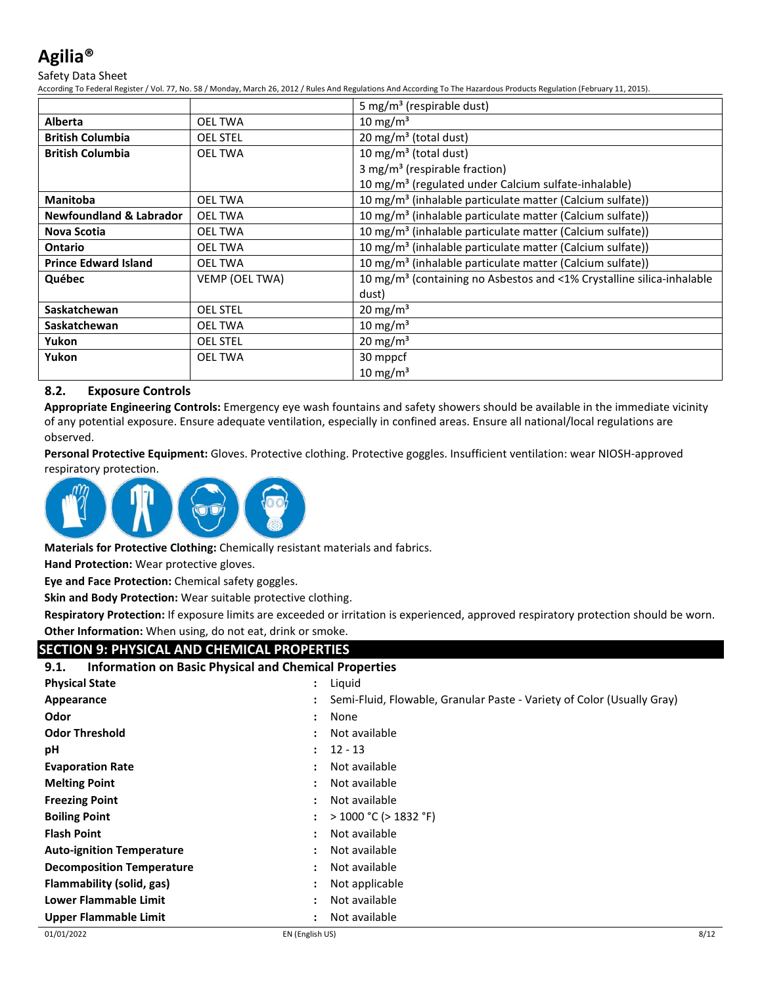### Safety Data Sheet

According To Federal Register / Vol. 77, No. 58 / Monday, March 26, 2012 / Rules And Regulations And According To The Hazardous Products Regulation (February 11, 2015).

|                                    |                 | 5 mg/m <sup>3</sup> (respirable dust)                                             |
|------------------------------------|-----------------|-----------------------------------------------------------------------------------|
| <b>Alberta</b>                     | OEL TWA         | 10 mg/m <sup>3</sup>                                                              |
| <b>British Columbia</b>            | <b>OEL STEL</b> | 20 mg/m <sup>3</sup> (total dust)                                                 |
| <b>British Columbia</b>            | <b>OEL TWA</b>  | 10 mg/m <sup>3</sup> (total dust)                                                 |
|                                    |                 | 3 mg/m <sup>3</sup> (respirable fraction)                                         |
|                                    |                 | 10 mg/m <sup>3</sup> (regulated under Calcium sulfate-inhalable)                  |
| <b>Manitoba</b>                    | <b>OEL TWA</b>  | 10 mg/m <sup>3</sup> (inhalable particulate matter (Calcium sulfate))             |
| <b>Newfoundland &amp; Labrador</b> | <b>OEL TWA</b>  | 10 mg/m <sup>3</sup> (inhalable particulate matter (Calcium sulfate))             |
| <b>Nova Scotia</b>                 | OEL TWA         | 10 mg/m <sup>3</sup> (inhalable particulate matter (Calcium sulfate))             |
| <b>Ontario</b>                     | <b>OEL TWA</b>  | 10 mg/m <sup>3</sup> (inhalable particulate matter (Calcium sulfate))             |
| <b>Prince Edward Island</b>        | <b>OEL TWA</b>  | 10 mg/m <sup>3</sup> (inhalable particulate matter (Calcium sulfate))             |
| Québec                             | VEMP (OEL TWA)  | 10 mg/m <sup>3</sup> (containing no Asbestos and <1% Crystalline silica-inhalable |
|                                    |                 | dust)                                                                             |
| Saskatchewan                       | <b>OEL STEL</b> | 20 mg/m <sup>3</sup>                                                              |
| Saskatchewan                       | <b>OEL TWA</b>  | 10 mg/m <sup>3</sup>                                                              |
| Yukon                              | <b>OEL STEL</b> | 20 mg/m <sup>3</sup>                                                              |
| Yukon                              | <b>OEL TWA</b>  | 30 mppcf                                                                          |
|                                    |                 | 10 mg/m <sup>3</sup>                                                              |

### **8.2. Exposure Controls**

**Appropriate Engineering Controls:** Emergency eye wash fountains and safety showers should be available in the immediate vicinity of any potential exposure. Ensure adequate ventilation, especially in confined areas. Ensure all national/local regulations are observed.

**Personal Protective Equipment:** Gloves. Protective clothing. Protective goggles. Insufficient ventilation: wear NIOSH-approved respiratory protection.



**Materials for Protective Clothing:** Chemically resistant materials and fabrics.

**Hand Protection:** Wear protective gloves.

**Eye and Face Protection:** Chemical safety goggles.

**Skin and Body Protection:** Wear suitable protective clothing.

**Respiratory Protection:** If exposure limits are exceeded or irritation is experienced, approved respiratory protection should be worn. **Other Information:** When using, do not eat, drink or smoke.

### **SECTION 9: PHYSICAL AND CHEMICAL PROPERTIES**

| <b>Information on Basic Physical and Chemical Properties</b><br>9.1. |                      |                                                                        |
|----------------------------------------------------------------------|----------------------|------------------------------------------------------------------------|
| <b>Physical State</b>                                                | $\ddot{\phantom{a}}$ | Liquid                                                                 |
| Appearance                                                           |                      | Semi-Fluid, Flowable, Granular Paste - Variety of Color (Usually Gray) |
| Odor                                                                 |                      | None                                                                   |
| <b>Odor Threshold</b>                                                |                      | Not available                                                          |
| рH                                                                   |                      | $12 - 13$                                                              |
| <b>Evaporation Rate</b>                                              |                      | Not available                                                          |
| <b>Melting Point</b>                                                 |                      | Not available                                                          |
| <b>Freezing Point</b>                                                |                      | Not available                                                          |
| <b>Boiling Point</b>                                                 |                      | $>$ 1000 °C ( $>$ 1832 °F)                                             |
| <b>Flash Point</b>                                                   | ٠                    | Not available                                                          |
| <b>Auto-ignition Temperature</b>                                     |                      | Not available                                                          |
| <b>Decomposition Temperature</b>                                     |                      | Not available                                                          |
| Flammability (solid, gas)                                            |                      | Not applicable                                                         |
| Lower Flammable Limit                                                |                      | Not available                                                          |
| Upper Flammable Limit                                                |                      | Not available                                                          |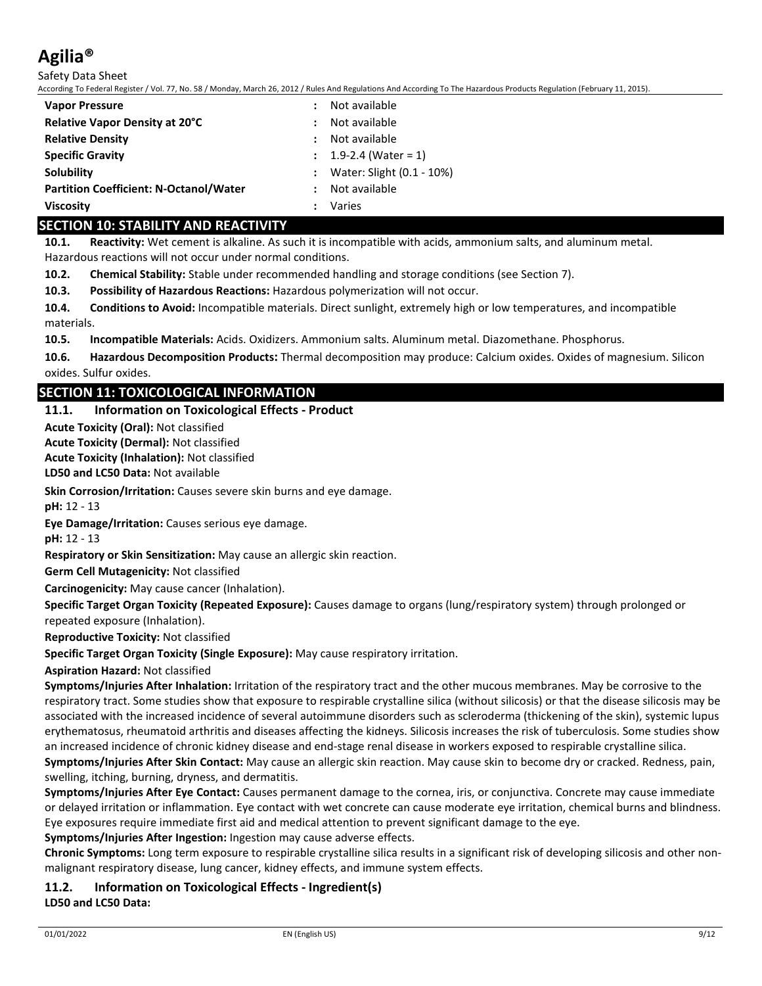Safety Data Sheet

According To Federal Register / Vol. 77, No. 58 / Monday, March 26, 2012 / Rules And Regulations And According To The Hazardous Products Regulation (February 11, 2015).

| <b>Vapor Pressure</b>                         | Not available             |
|-----------------------------------------------|---------------------------|
| <b>Relative Vapor Density at 20°C</b>         | Not available             |
| <b>Relative Density</b>                       | Not available             |
| <b>Specific Gravity</b>                       | 1.9-2.4 (Water = 1)       |
| Solubility                                    | Water: Slight (0.1 - 10%) |
| <b>Partition Coefficient: N-Octanol/Water</b> | Not available             |
| <b>Viscosity</b>                              | Varies                    |

### **SECTION 10: STABILITY AND REACTIVITY**

**10.1. Reactivity:** Wet cement is alkaline. As such it is incompatible with acids, ammonium salts, and aluminum metal. Hazardous reactions will not occur under normal conditions.

**10.2. Chemical Stability:** Stable under recommended handling and storage conditions (see Section 7).

**10.3. Possibility of Hazardous Reactions:** Hazardous polymerization will not occur.

**10.4. Conditions to Avoid:** Incompatible materials. Direct sunlight, extremely high or low temperatures, and incompatible materials.

**10.5. Incompatible Materials:** Acids. Oxidizers. Ammonium salts. Aluminum metal. Diazomethane. Phosphorus.

**10.6. Hazardous Decomposition Products:** Thermal decomposition may produce: Calcium oxides. Oxides of magnesium. Silicon oxides. Sulfur oxides.

### **SECTION 11: TOXICOLOGICAL INFORMATION**

### **11.1. Information on Toxicological Effects - Product**

**Acute Toxicity (Oral):** Not classified

**Acute Toxicity (Dermal):** Not classified

**Acute Toxicity (Inhalation):** Not classified

**LD50 and LC50 Data:** Not available

**Skin Corrosion/Irritation:** Causes severe skin burns and eye damage.

**pH:** 12 - 13

**Eye Damage/Irritation:** Causes serious eye damage.

**pH:** 12 - 13

**Respiratory or Skin Sensitization:** May cause an allergic skin reaction.

**Germ Cell Mutagenicity:** Not classified

**Carcinogenicity:** May cause cancer (Inhalation).

**Specific Target Organ Toxicity (Repeated Exposure):** Causes damage to organs (lung/respiratory system) through prolonged or repeated exposure (Inhalation).

**Reproductive Toxicity:** Not classified

**Specific Target Organ Toxicity (Single Exposure):** May cause respiratory irritation.

**Aspiration Hazard:** Not classified

**Symptoms/Injuries After Inhalation:** Irritation of the respiratory tract and the other mucous membranes. May be corrosive to the respiratory tract. Some studies show that exposure to respirable crystalline silica (without silicosis) or that the disease silicosis may be associated with the increased incidence of several autoimmune disorders such as scleroderma (thickening of the skin), systemic lupus erythematosus, rheumatoid arthritis and diseases affecting the kidneys. Silicosis increases the risk of tuberculosis. Some studies show an increased incidence of chronic kidney disease and end-stage renal disease in workers exposed to respirable crystalline silica.

**Symptoms/Injuries After Skin Contact:** May cause an allergic skin reaction. May cause skin to become dry or cracked. Redness, pain, swelling, itching, burning, dryness, and dermatitis.

**Symptoms/Injuries After Eye Contact:** Causes permanent damage to the cornea, iris, or conjunctiva. Concrete may cause immediate or delayed irritation or inflammation. Eye contact with wet concrete can cause moderate eye irritation, chemical burns and blindness. Eye exposures require immediate first aid and medical attention to prevent significant damage to the eye.

**Symptoms/Injuries After Ingestion:** Ingestion may cause adverse effects.

**Chronic Symptoms:** Long term exposure to respirable crystalline silica results in a significant risk of developing silicosis and other nonmalignant respiratory disease, lung cancer, kidney effects, and immune system effects.

### **11.2. Information on Toxicological Effects - Ingredient(s)**

**LD50 and LC50 Data:**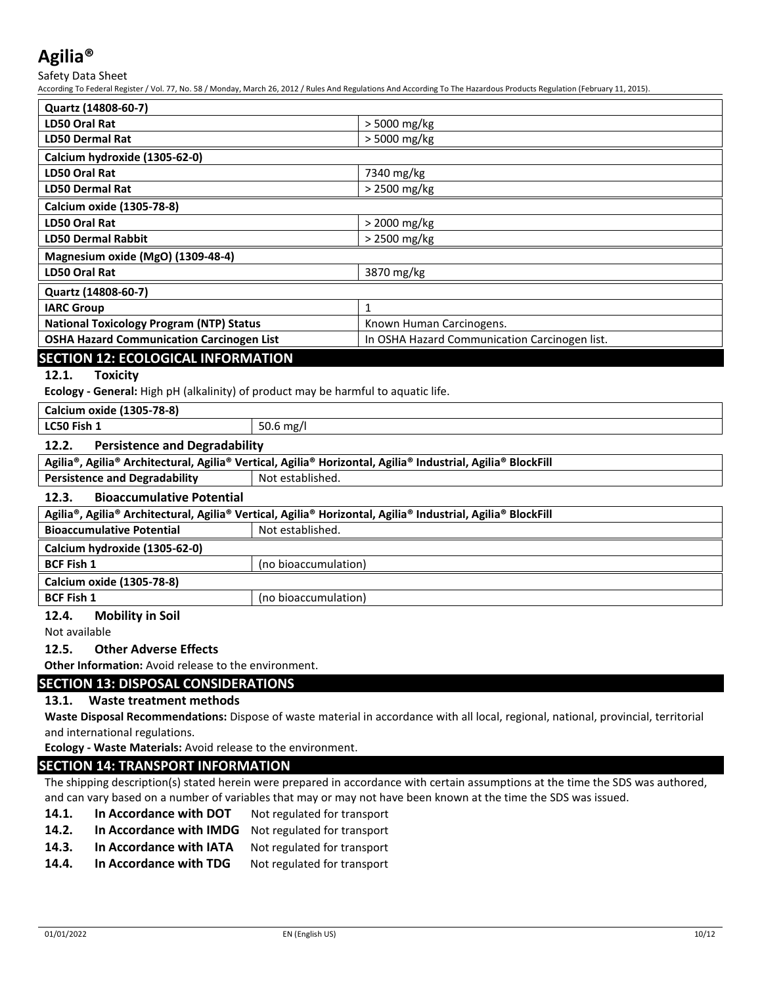Safety Data Sheet

According To Federal Register / Vol. 77, No. 58 / Monday, March 26, 2012 / Rules And Regulations And According To The Hazardous Products Regulation (February 11, 2015).

| Quartz (14808-60-7)                              |                                               |  |
|--------------------------------------------------|-----------------------------------------------|--|
| LD50 Oral Rat                                    | > 5000 mg/kg                                  |  |
| <b>LD50 Dermal Rat</b>                           | > 5000 mg/kg                                  |  |
| Calcium hydroxide (1305-62-0)                    |                                               |  |
| LD50 Oral Rat                                    | 7340 mg/kg                                    |  |
| <b>LD50 Dermal Rat</b>                           | > 2500 mg/kg                                  |  |
| Calcium oxide (1305-78-8)                        |                                               |  |
| LD50 Oral Rat                                    | > 2000 mg/kg                                  |  |
| <b>LD50 Dermal Rabbit</b>                        | > 2500 mg/kg                                  |  |
| Magnesium oxide (MgO) (1309-48-4)                |                                               |  |
| <b>LD50 Oral Rat</b>                             | 3870 mg/kg                                    |  |
| Quartz (14808-60-7)                              |                                               |  |
| <b>IARC Group</b>                                | 1                                             |  |
| <b>National Toxicology Program (NTP) Status</b>  | Known Human Carcinogens.                      |  |
| <b>OSHA Hazard Communication Carcinogen List</b> | In OSHA Hazard Communication Carcinogen list. |  |
| <b>SECTION 12: ECOLOGICAL INFORMATION</b>        |                                               |  |

### **12.1. Toxicity**

**Ecology - General:** High pH (alkalinity) of product may be harmful to aquatic life.

| Calcium oxide (1305-78-8) |  |  |
|---------------------------|--|--|
|                           |  |  |

**LC50 Fish 1** 50.6 mg/l

### **12.2. Persistence and Degradability**

|                                      | $^{\rm !}$ Agilia®, Agilia® Architectural, Agilia® Vertical, Agilia® Horizontal, Agilia® Industrial, Agilia® BlockFill |
|--------------------------------------|------------------------------------------------------------------------------------------------------------------------|
| <b>Persistence and Degradability</b> | Not established.                                                                                                       |

### **12.3. Bioaccumulative Potential**

| Agilia®, Agilia® Architectural, Agilia® Vertical, Agilia® Horizontal, Agilia® Industrial, Agilia® BlockFill |                      |  |
|-------------------------------------------------------------------------------------------------------------|----------------------|--|
| <b>Bioaccumulative Potential</b>                                                                            | Not established.     |  |
| Calcium hydroxide (1305-62-0)                                                                               |                      |  |
| <b>BCF Fish 1</b>                                                                                           | (no bioaccumulation) |  |
| Calcium oxide (1305-78-8)                                                                                   |                      |  |
| <b>BCF Fish 1</b>                                                                                           | (no bioaccumulation) |  |

### **12.4. Mobility in Soil**

Not available

### **12.5. Other Adverse Effects**

**Other Information:** Avoid release to the environment.

### **SECTION 13: DISPOSAL CONSIDERATIONS**

### **13.1. Waste treatment methods**

**Waste Disposal Recommendations:** Dispose of waste material in accordance with all local, regional, national, provincial, territorial and international regulations.

**Ecology - Waste Materials:** Avoid release to the environment.

### **SECTION 14: TRANSPORT INFORMATION**

The shipping description(s) stated herein were prepared in accordance with certain assumptions at the time the SDS was authored, and can vary based on a number of variables that may or may not have been known at the time the SDS was issued.

- 14.1. In Accordance with DOT Not regulated for transport
- **14.2. In Accordance with IMDG** Not regulated for transport
- 14.3. In Accordance with IATA Not regulated for transport
- **14.4.** In Accordance with TDG Not regulated for transport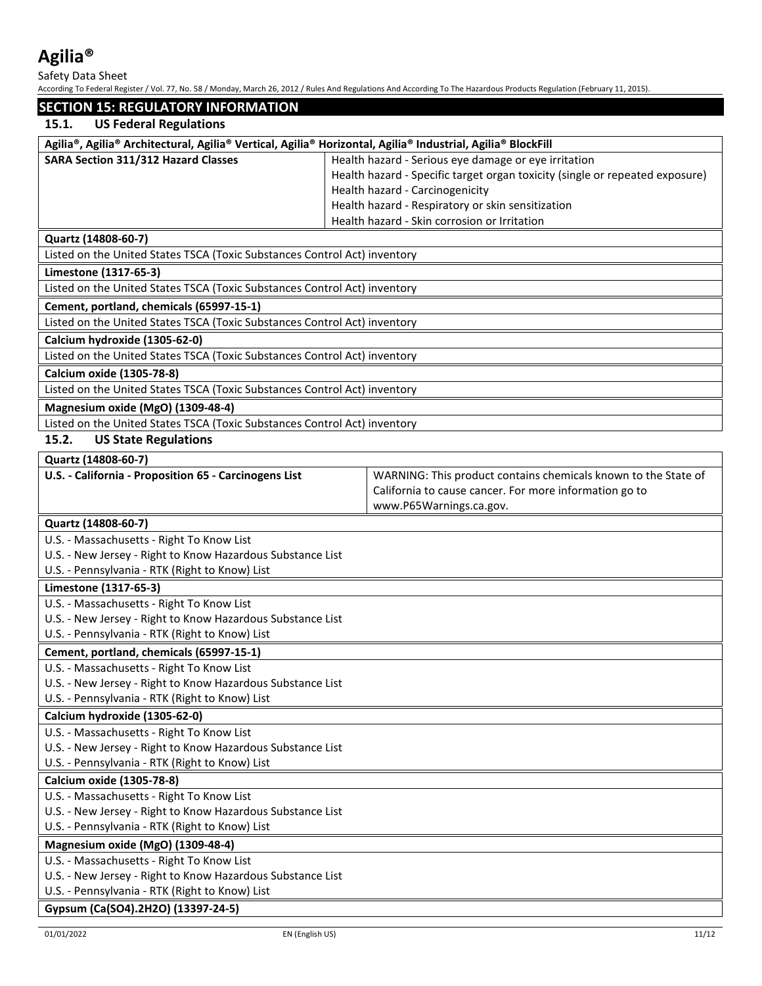Safety Data Sheet

| <b>SECTION 15: REGULATORY INFORMATION</b>                                                                                                                                                                                                                                                                                                                                           |                                                                              |
|-------------------------------------------------------------------------------------------------------------------------------------------------------------------------------------------------------------------------------------------------------------------------------------------------------------------------------------------------------------------------------------|------------------------------------------------------------------------------|
| <b>US Federal Regulations</b><br>15.1.                                                                                                                                                                                                                                                                                                                                              |                                                                              |
| Agilia®, Agilia® Architectural, Agilia® Vertical, Agilia® Horizontal, Agilia® Industrial, Agilia® BlockFill                                                                                                                                                                                                                                                                         |                                                                              |
| SARA Section 311/312 Hazard Classes                                                                                                                                                                                                                                                                                                                                                 | Health hazard - Serious eye damage or eye irritation                         |
|                                                                                                                                                                                                                                                                                                                                                                                     | Health hazard - Specific target organ toxicity (single or repeated exposure) |
|                                                                                                                                                                                                                                                                                                                                                                                     | Health hazard - Carcinogenicity                                              |
|                                                                                                                                                                                                                                                                                                                                                                                     | Health hazard - Respiratory or skin sensitization                            |
|                                                                                                                                                                                                                                                                                                                                                                                     | Health hazard - Skin corrosion or Irritation                                 |
| Quartz (14808-60-7)                                                                                                                                                                                                                                                                                                                                                                 |                                                                              |
| Listed on the United States TSCA (Toxic Substances Control Act) inventory                                                                                                                                                                                                                                                                                                           |                                                                              |
| Limestone (1317-65-3)                                                                                                                                                                                                                                                                                                                                                               |                                                                              |
| Listed on the United States TSCA (Toxic Substances Control Act) inventory                                                                                                                                                                                                                                                                                                           |                                                                              |
| Cement, portland, chemicals (65997-15-1)                                                                                                                                                                                                                                                                                                                                            |                                                                              |
| Listed on the United States TSCA (Toxic Substances Control Act) inventory                                                                                                                                                                                                                                                                                                           |                                                                              |
| Calcium hydroxide (1305-62-0)                                                                                                                                                                                                                                                                                                                                                       |                                                                              |
| Listed on the United States TSCA (Toxic Substances Control Act) inventory                                                                                                                                                                                                                                                                                                           |                                                                              |
| Calcium oxide (1305-78-8)                                                                                                                                                                                                                                                                                                                                                           |                                                                              |
| Listed on the United States TSCA (Toxic Substances Control Act) inventory                                                                                                                                                                                                                                                                                                           |                                                                              |
| Magnesium oxide (MgO) (1309-48-4)                                                                                                                                                                                                                                                                                                                                                   |                                                                              |
| Listed on the United States TSCA (Toxic Substances Control Act) inventory                                                                                                                                                                                                                                                                                                           |                                                                              |
| 15.2.<br><b>US State Regulations</b>                                                                                                                                                                                                                                                                                                                                                |                                                                              |
| Quartz (14808-60-7)                                                                                                                                                                                                                                                                                                                                                                 |                                                                              |
| U.S. - California - Proposition 65 - Carcinogens List                                                                                                                                                                                                                                                                                                                               | WARNING: This product contains chemicals known to the State of               |
|                                                                                                                                                                                                                                                                                                                                                                                     | California to cause cancer. For more information go to                       |
|                                                                                                                                                                                                                                                                                                                                                                                     | www.P65Warnings.ca.gov.                                                      |
| Quartz (14808-60-7)                                                                                                                                                                                                                                                                                                                                                                 |                                                                              |
| U.S. - Massachusetts - Right To Know List                                                                                                                                                                                                                                                                                                                                           |                                                                              |
| U.S. - New Jersey - Right to Know Hazardous Substance List                                                                                                                                                                                                                                                                                                                          |                                                                              |
| U.S. - Pennsylvania - RTK (Right to Know) List                                                                                                                                                                                                                                                                                                                                      |                                                                              |
| Limestone (1317-65-3)                                                                                                                                                                                                                                                                                                                                                               |                                                                              |
| U.S. - Massachusetts - Right To Know List                                                                                                                                                                                                                                                                                                                                           |                                                                              |
| U.S. - New Jersey - Right to Know Hazardous Substance List                                                                                                                                                                                                                                                                                                                          |                                                                              |
| U.S. - Pennsylvania - RTK (Right to Know) List                                                                                                                                                                                                                                                                                                                                      |                                                                              |
| Cement, portland, chemicals (65997-15-1)                                                                                                                                                                                                                                                                                                                                            |                                                                              |
| U.S. - Massachusetts - Right To Know List                                                                                                                                                                                                                                                                                                                                           |                                                                              |
| U.S. - New Jersey - Right to Know Hazardous Substance List                                                                                                                                                                                                                                                                                                                          |                                                                              |
| U.S. - Pennsylvania - RTK (Right to Know) List                                                                                                                                                                                                                                                                                                                                      |                                                                              |
| Calcium hydroxide (1305-62-0)                                                                                                                                                                                                                                                                                                                                                       |                                                                              |
| U.S. - Massachusetts - Right To Know List                                                                                                                                                                                                                                                                                                                                           |                                                                              |
| U.S. - New Jersey - Right to Know Hazardous Substance List                                                                                                                                                                                                                                                                                                                          |                                                                              |
| U.S. - Pennsylvania - RTK (Right to Know) List                                                                                                                                                                                                                                                                                                                                      |                                                                              |
| Calcium oxide (1305-78-8)                                                                                                                                                                                                                                                                                                                                                           |                                                                              |
| U.S. - Massachusetts - Right To Know List                                                                                                                                                                                                                                                                                                                                           |                                                                              |
| U.S. - New Jersey - Right to Know Hazardous Substance List                                                                                                                                                                                                                                                                                                                          |                                                                              |
| U.S. - Pennsylvania - RTK (Right to Know) List                                                                                                                                                                                                                                                                                                                                      |                                                                              |
| Magnesium oxide (MgO) (1309-48-4)                                                                                                                                                                                                                                                                                                                                                   |                                                                              |
| U.S. - Massachusetts - Right To Know List<br>U.S. - New Jersey - Right to Know Hazardous Substance List                                                                                                                                                                                                                                                                             |                                                                              |
| U.S. - Pennsylvania - RTK (Right to Know) List                                                                                                                                                                                                                                                                                                                                      |                                                                              |
| $I_{\alpha}$ , $I_{\alpha}$ , $I_{\alpha}$ , $I_{\alpha}$ , $I_{\alpha}$ , $I_{\alpha}$ , $I_{\alpha}$ , $I_{\alpha}$ , $I_{\alpha}$ , $I_{\alpha}$ , $I_{\alpha}$ , $I_{\alpha}$ , $I_{\alpha}$ , $I_{\alpha}$ , $I_{\alpha}$ , $I_{\alpha}$ , $I_{\alpha}$ , $I_{\alpha}$ , $I_{\alpha}$ , $I_{\alpha}$ , $I_{\alpha}$ , $I_{\alpha}$ , $I_{\alpha}$ , $I_{\alpha}$ , $I_{\alpha$ |                                                                              |